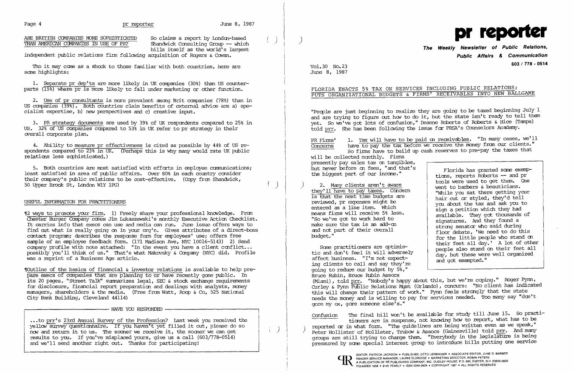Page 4 **pr reporter Figure 8, 1987** 

Page 4 <u>preporter</u> by the protect by londer stars ( ) preporter and the stars of the protect protect protect and the stars a report by Londen-based ( ) protection of the model of prediction of the model of the model of pro The Weekly Newsletter of Public Relations,<br>bills itself as the world's largest the structure of the Weekly Newsletter of Public Relations,

independent public relations firm following acquisition of Rogers & Cowan.

1. Separate pr dep'ts are more likely in UK companies (30%) than US counterparts (15%) where pr is more likely to fall under marketing or other function.

Tho it may cane as a shock to those familiar with both countries, here are same highlights:

2. Use of pr consultants is more prevalent among Brit companies (78%) than in US canpanies (39%). Both countries claim benefits of external advice are a) specialist expertise, b) new Perspectives and c) creative input.

4. Ability to measure pr effectiveness is cited as possible by 44% of US respondents canpared to 23% in UK. (Perhaps this is why many would rate UK public relations less sophisticated.)

5. Both countries are most satisfied with efforts in employee communications; least satisfied in area of public affairs. Over 80% in each country consider their company's public relations to be cost-effective. (Copy from Shandwick, 50 Upper Brook St, London WlY 1PG)

3. PR strategy documents are used by 39% of UK respondents canpared to 25% in US. 32% of US companies compared to 53% in UK refer to pr strategy in their overall corporate plan.

Woutline of the basics of financial & investor relations is available to help prepare execs of companies that are planning to or have recently gone public. In its 20 pages, "Street Talk" summarizes legal, SEC & stock exchange requirements for disclosure, financial report preparation and dealings with analysts, money managers, shareholders & the media. (Free from Watt, Roop & Co, 525 National City Bank Building, Cleveland 44114)

USEFUL INFORMATION FOR PRACrITIQNERS

...to prr's 23rd Annual Survey of the Profession? Last week you received the yellow survey questionnaire. If you haven't yet filled it out, please do so now and return it to us. The sooner we receive it, the sooner we can get results to you. If you've misplaced yours, give us a call (603/778-0514) and we'll send another right out. Thanks for participating!

June 8, 1987

### FLORIDA ENACTS 5% TAX ON SERVICES INCLUDING PUBLIC RELATIONS; PUTS ORGANIZATIONAL BUDGETS & FIRMS' RECEIVABLES INTO NEW BALLGAME

"Pecple are just beginning to realize they are going to be taxed beginning July  $1$ and are trying to figure out how to do it, but the state isn't ready to tell them yet. So we've got lots of confusion," Deanne Rcberts of Roberts & Hice (Tampa) told prr. She has been following the issue for PRSA's Counselors Academy.

PR Firms' 1. Tax will have to be paid on receivables. "In many cases, we'll Concerns have to pay the tax before we receive the money from our clients." have to pay the tax before we receive the money from our clients." So firms have to build up cash reserves to pre-pay the taxes that will be collected monthly. Firms presently pay sales tax on tangibles,<br>but never before on fees, "and that's but never before on fees, "and that's florida has granted some exemptient biggest part of our income."<br>tions, reports Roberts -- and pr

they'll have to pay taxes. Concern<br>is that the next time budgets are hair cut or styled, they'd tell<br>reviewed, pr expenses might be reviewed, pr expenses might be you about the tax and ask you to<br>entered as a line item. Which entered as a line item. Which sign a petition which they had<br>means firms will receive 5% less. "So we've got to work hard to signatures. They got discussions make sure the tax is an add-on signatures. And they found a strong senator who said during and not part of their overall floor debate, 'We need to do this<br>budget." for the little people who stand on

Some practitioners are optimis-<br>tic and don't feel it will adversely<br>day, but these were well organized affect business. "I'm not expect-<br>ing clients to call and say they're and got exempted." going to reduce our budget by 5%," Bruce Rubin, Bruce Rubin Assccs (Miami), told prr. "Nobody's happy about this, but we're coping." Roger Pynn, Curley & Pynn Public Relations Mgmt (Orlando), concurs: "No client has indicated this will change their pattern of work." Pynn feels strmgly that the state needs the money and is willing to pay for services needed. Too many say "don't gore my ox, gare sameone else's."

'[2 ways to pranate your finn. 1) Freely share your professional kncwledge. Fran Chester Burger Canpany canes Jim Lukaszewski's monthly Executive Actioo Checklist. It carries info that execs can use and media can run. June issue offers ways to find out what is really going on in your org'n. Gives attributes of a direct-boss contact program; describes the response form for employees' use; offers free sample of an employee feedback form, (171 Madison Ave, NYC 10016-5143) 2) Send canpany profile with note attached: "In the event you have a client cmflict... possibly you'll think of us." That's what Makovsky & canpany (NYC) did. Profile was a reprint of a Business Age article.

2. Many clients aren't aware to barbers a beauticians.<br>2. Many clients aren't aware went to barbers & beauticians.<br>2. While you sat there getting your available. They got thousands of<br>signatures. And they found a for the little people who stand on their feet all day.' A lot of other

,..-------------- HAVE YOU RESPONDED <sup>I</sup>

# **Public Affairs & Communication 603 / 778 - <sup>0514</sup>** voi, 30 No. 23

Confusion The final bill won't be available for study till June 15. So practitioners are in suspense, not knowing how to report, what has to be reported or in what form. "The guidelines are being written even as we speak," Peter Hollister of Hollister, Trubow & Assocs (Gainesville) told prr. And many groups are still trying to change them. "Everybody in the legislature is being pressured by same special interest group to intrcduce bills putting one service